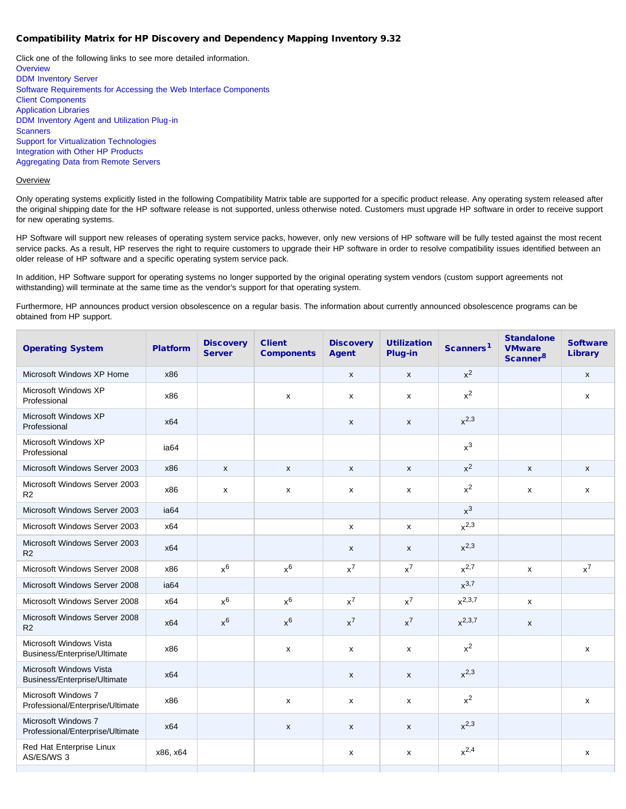# Compatibility Matrix for HP Discovery and Dependency Mapping Inventory 9.32

Click one of the following links to see more detailed information. **[Overview](#page-0-0)** [DDM Inventory Server](#page-1-0) [Software Requirements for Accessing the Web Interface Components](#page-1-1) [Client Components](#page-2-0) [Application Libraries](#page-2-1) [DDM Inventory Agent and Utilization Plug-in](#page-2-2) **[Scanners](#page-2-3)** [Support for Virtualization Technologies](#page-2-4) [Integration with Other HP Products](#page-3-0) [Aggregating Data from Remote Servers](#page-3-1)

#### <span id="page-0-0"></span>**Overview**

Only operating systems explicitly listed in the following Compatibility Matrix table are supported for a specific product release. Any operating system released after the original shipping date for the HP software release is not supported, unless otherwise noted. Customers must upgrade HP software in order to receive support for new operating systems.

HP Software will support new releases of operating system service packs, however, only new versions of HP software will be fully tested against the most recent service packs. As a result, HP reserves the right to require customers to upgrade their HP software in order to resolve compatibility issues identified between an older release of HP software and a specific operating system service pack.

In addition, HP Software support for operating systems no longer supported by the original operating system vendors (custom support agreements not withstanding) will terminate at the same time as the vendor's support for that operating system.

Furthermore, HP announces product version obsolescence on a regular basis. The information about currently announced obsolescence programs can be obtained from HP support.

| <b>Operating System</b>                                 | <b>Platform</b>  | <b>Discovery</b><br><b>Server</b> | <b>Client</b><br><b>Components</b> | <b>Discovery</b><br><b>Agent</b> | <b>Utilization</b><br>Plug-in | Scanners <sup>1</sup> | <b>Standalone</b><br><b>VMware</b><br>Scanner <sup>8</sup> | <b>Software</b><br><b>Library</b> |
|---------------------------------------------------------|------------------|-----------------------------------|------------------------------------|----------------------------------|-------------------------------|-----------------------|------------------------------------------------------------|-----------------------------------|
| Microsoft Windows XP Home                               | x86              |                                   |                                    | $\mathsf{x}$                     | X                             | $x^2$                 |                                                            | $\boldsymbol{\mathsf{x}}$         |
| Microsoft Windows XP<br>Professional                    | x86              |                                   | X                                  | X                                | X                             | $x^2$                 |                                                            | $\pmb{\mathsf{x}}$                |
| Microsoft Windows XP<br>Professional                    | x64              |                                   |                                    | $\mathsf{x}$                     | X                             | $x^{2,3}$             |                                                            |                                   |
| Microsoft Windows XP<br>Professional                    | ia64             |                                   |                                    |                                  |                               | $x^3$                 |                                                            |                                   |
| Microsoft Windows Server 2003                           | x86              | $\mathsf{x}$                      | $\mathsf{x}$                       | $\mathsf{x}$                     | X                             | $x^2$                 | $\mathsf{x}$                                               | $\mathsf{x}$                      |
| Microsoft Windows Server 2003<br>R2                     | x86              | x                                 | x                                  | x                                | x                             | $x^2$                 | x                                                          | $\boldsymbol{\mathsf{x}}$         |
| Microsoft Windows Server 2003                           | ia <sub>64</sub> |                                   |                                    |                                  |                               | $x^3$                 |                                                            |                                   |
| Microsoft Windows Server 2003                           | x64              |                                   |                                    | x                                | x                             | $x^{2,3}$             |                                                            |                                   |
| Microsoft Windows Server 2003<br>R <sub>2</sub>         | x64              |                                   |                                    | $\mathsf{x}$                     | X                             | $x^{2,3}$             |                                                            |                                   |
| Microsoft Windows Server 2008                           | x86              | $x^6$                             | $x^6$                              | $x^7$                            | $x^7$                         | $x^{2,7}$             | X                                                          | $x^7$                             |
| Microsoft Windows Server 2008                           | ia64             |                                   |                                    |                                  |                               | $x^{3,7}$             |                                                            |                                   |
| Microsoft Windows Server 2008                           | x64              | $x^6$                             | $x^6$                              | $x^7$                            | $x^7$                         | $x^{2,3,7}$           | x                                                          |                                   |
| Microsoft Windows Server 2008<br>R2                     | x64              | $x^6$                             | $x^6$                              | $x^7$                            | $x^7$                         | $x^{2,3,7}$           | $\mathsf{x}$                                               |                                   |
| Microsoft Windows Vista<br>Business/Enterprise/Ultimate | x86              |                                   | $\boldsymbol{\mathsf{x}}$          | x                                | x                             | $x^2$                 |                                                            | X                                 |
| Microsoft Windows Vista<br>Business/Enterprise/Ultimate | x64              |                                   |                                    | X                                | $\pmb{\mathsf{x}}$            | $x^{2,3}$             |                                                            |                                   |
| Microsoft Windows 7<br>Professional/Enterprise/Ultimate | x86              |                                   | $\mathsf{x}$                       | $\mathsf{x}$                     | x                             | $x^2$                 |                                                            | X                                 |
| Microsoft Windows 7<br>Professional/Enterprise/Ultimate | x64              |                                   | $\mathsf{x}$                       | $\mathsf{x}$                     | X                             | $x^{2,3}$             |                                                            |                                   |
| Red Hat Enterprise Linux<br>AS/ES/WS 3                  | x86, x64         |                                   |                                    | X                                | x                             | $x^{2,4}$             |                                                            | X                                 |
|                                                         |                  |                                   |                                    |                                  |                               |                       |                                                            |                                   |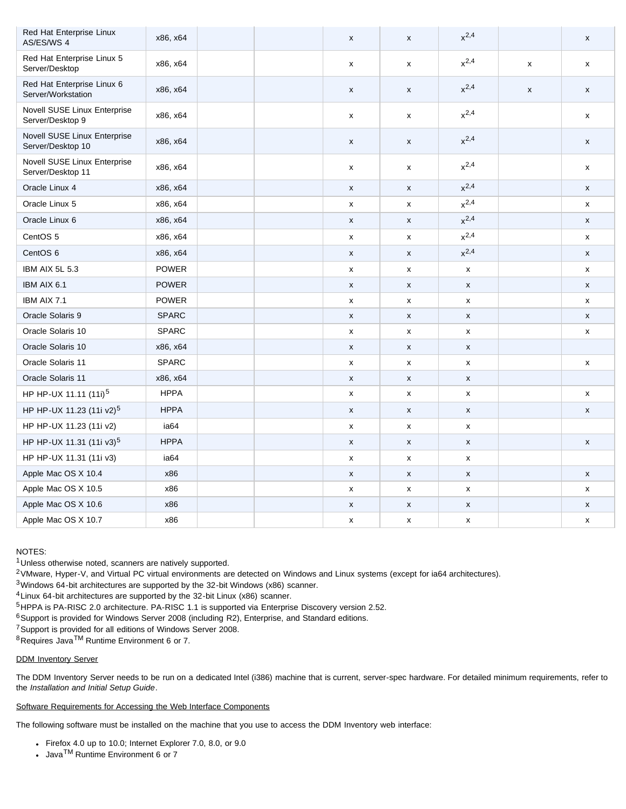| Red Hat Enterprise Linux<br>AS/ES/WS 4            | x86, x64     |  | X                  | X                         | $x^{2,4}$          |   | $\pmb{\mathsf{x}}$ |
|---------------------------------------------------|--------------|--|--------------------|---------------------------|--------------------|---|--------------------|
| Red Hat Enterprise Linux 5<br>Server/Desktop      | x86, x64     |  | x                  | x                         | $x^{2,4}$          | x | x                  |
| Red Hat Enterprise Linux 6<br>Server/Workstation  | x86, x64     |  | X                  | X                         | $x^{2,4}$          | X | $\pmb{\mathsf{x}}$ |
| Novell SUSE Linux Enterprise<br>Server/Desktop 9  | x86, x64     |  | x                  | x                         | $x^{2,4}$          |   | x                  |
| Novell SUSE Linux Enterprise<br>Server/Desktop 10 | x86, x64     |  | X                  | X                         | $x^{2,4}$          |   | X                  |
| Novell SUSE Linux Enterprise<br>Server/Desktop 11 | x86, x64     |  | X                  | X                         | $x^{2,4}$          |   | x                  |
| Oracle Linux 4                                    | x86, x64     |  | X                  | $\boldsymbol{\mathsf{x}}$ | $x^{2,4}$          |   | X                  |
| Oracle Linux 5                                    | x86, x64     |  | $\pmb{\mathsf{x}}$ | $\pmb{\mathsf{x}}$        | $x^{2,4}$          |   | X                  |
| Oracle Linux 6                                    | x86, x64     |  | $\pmb{\mathsf{x}}$ | $\pmb{\mathsf{x}}$        | $x^{2,4}$          |   | X                  |
| CentOS 5                                          | x86, x64     |  | x                  | X                         | $x^{2,4}$          |   | X                  |
| CentOS 6                                          | x86, x64     |  | $\pmb{\mathsf{x}}$ | $\pmb{\mathsf{x}}$        | $x^{2,4}$          |   | $\pmb{\mathsf{x}}$ |
| IBM AIX 5L 5.3                                    | <b>POWER</b> |  | $\pmb{\mathsf{x}}$ | $\pmb{\mathsf{x}}$        | X                  |   | X                  |
| IBM AIX 6.1                                       | <b>POWER</b> |  | $\pmb{\mathsf{x}}$ | X                         | X                  |   | X                  |
| IBM AIX 7.1                                       | <b>POWER</b> |  | X                  | X                         | $\pmb{\mathsf{x}}$ |   | X                  |
| Oracle Solaris 9                                  | <b>SPARC</b> |  | $\pmb{\mathsf{x}}$ | X                         | X                  |   | $\pmb{\mathsf{x}}$ |
| Oracle Solaris 10                                 | <b>SPARC</b> |  | X                  | X                         | $\mathsf X$        |   | X                  |
| Oracle Solaris 10                                 | x86, x64     |  | $\pmb{\mathsf{x}}$ | $\pmb{\mathsf{x}}$        | $\pmb{\mathsf{x}}$ |   |                    |
| Oracle Solaris 11                                 | <b>SPARC</b> |  | $\pmb{\mathsf{x}}$ | X                         | X                  |   | X                  |
| Oracle Solaris 11                                 | x86, x64     |  | X                  | X                         | $\mathsf X$        |   |                    |
| HP HP-UX 11.11 (11i) <sup>5</sup>                 | <b>HPPA</b>  |  | X                  | $\pmb{\mathsf{x}}$        | X                  |   | X                  |
| HP HP-UX 11.23 (11i v2) <sup>5</sup>              | <b>HPPA</b>  |  | $\pmb{\mathsf{x}}$ | $\pmb{\mathsf{x}}$        | $\pmb{\mathsf{x}}$ |   | $\pmb{\mathsf{x}}$ |
| HP HP-UX 11.23 (11i v2)                           | ia64         |  | X                  | X                         | X                  |   |                    |
| HP HP-UX 11.31 (11i v3) <sup>5</sup>              | <b>HPPA</b>  |  | $\pmb{\mathsf{x}}$ | $\pmb{\mathsf{x}}$        | $\pmb{\mathsf{x}}$ |   | $\pmb{\mathsf{x}}$ |
| HP HP-UX 11.31 (11i v3)                           | ia64         |  | $\pmb{\mathsf{x}}$ | $\pmb{\mathsf{x}}$        | X                  |   |                    |
| Apple Mac OS X 10.4                               | x86          |  | $\pmb{\mathsf{x}}$ | $\pmb{\mathsf{x}}$        | X                  |   | $\pmb{\mathsf{x}}$ |
| Apple Mac OS X 10.5                               | x86          |  | x                  | X                         | $\pmb{\mathsf{x}}$ |   | $\pmb{\mathsf{x}}$ |
| Apple Mac OS X 10.6                               | x86          |  | $\pmb{\mathsf{x}}$ | $\pmb{\mathsf{X}}$        | $\pmb{\mathsf{X}}$ |   | X                  |
| Apple Mac OS X 10.7                               | x86          |  | X                  | X                         | X                  |   | x                  |

# NOTES:

1Unless otherwise noted, scanners are natively supported.

2VMware, Hyper-V, and Virtual PC virtual environments are detected on Windows and Linux systems (except for ia64 architectures).

3Windows 64-bit architectures are supported by the 32-bit Windows (x86) scanner.

4Linux 64-bit architectures are supported by the 32-bit Linux (x86) scanner.

5HPPA is PA-RISC 2.0 architecture. PA-RISC 1.1 is supported via Enterprise Discovery version 2.52.

 $6$ Support is provided for Windows Server 2008 (including R2), Enterprise, and Standard editions.

7Support is provided for all editions of Windows Server 2008.

8Requires Java<sup>™</sup> Runtime Environment 6 or 7.

# <span id="page-1-0"></span>DDM Inventory Server

The DDM Inventory Server needs to be run on a dedicated Intel (i386) machine that is current, server-spec hardware. For detailed minimum requirements, refer to the *Installation and Initial Setup Guide*.

# <span id="page-1-1"></span>Software Requirements for Accessing the Web Interface Components

The following software must be installed on the machine that you use to access the DDM Inventory web interface:

- Firefox 4.0 up to 10.0; Internet Explorer 7.0, 8.0, or 9.0
- Java<sup>TM</sup> Runtime Environment 6 or 7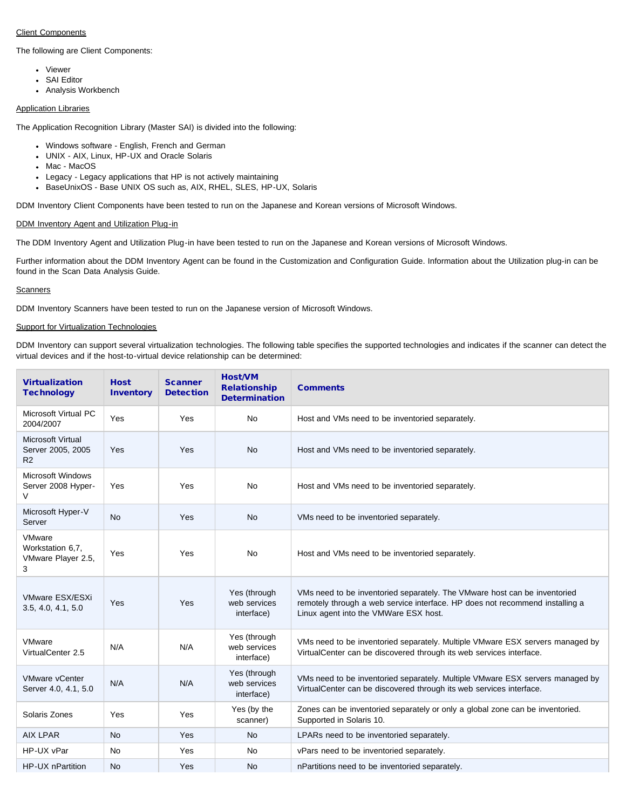## <span id="page-2-0"></span>Client Components

The following are Client Components:

- Viewer
- SAI Editor
- Analysis Workbench

## <span id="page-2-1"></span>Application Libraries

The Application Recognition Library (Master SAI) is divided into the following:

- Windows software English, French and German
- UNIX AIX, Linux, HP-UX and Oracle Solaris
- Mac MacOS
- Legacy Legacy applications that HP is not actively maintaining
- BaseUnixOS Base UNIX OS such as, AIX, RHEL, SLES, HP-UX, Solaris

DDM Inventory Client Components have been tested to run on the Japanese and Korean versions of Microsoft Windows.

# <span id="page-2-2"></span>DDM Inventory Agent and Utilization Plug-in

The DDM Inventory Agent and Utilization Plug-in have been tested to run on the Japanese and Korean versions of Microsoft Windows.

Further information about the DDM Inventory Agent can be found in the Customization and Configuration Guide. Information about the Utilization plug-in can be found in the Scan Data Analysis Guide.

#### <span id="page-2-3"></span>**Scanners**

DDM Inventory Scanners have been tested to run on the Japanese version of Microsoft Windows.

## <span id="page-2-4"></span>Support for Virtualization Technologies

DDM Inventory can support several virtualization technologies. The following table specifies the supported technologies and indicates if the scanner can detect the virtual devices and if the host-to-virtual device relationship can be determined:

| <b>Virtualization</b><br><b>Technology</b>                      | <b>Host</b><br><b>Inventory</b> | <b>Scanner</b><br><b>Detection</b> | <b>Host/VM</b><br><b>Relationship</b><br><b>Determination</b> | <b>Comments</b>                                                                                                                                                                                    |
|-----------------------------------------------------------------|---------------------------------|------------------------------------|---------------------------------------------------------------|----------------------------------------------------------------------------------------------------------------------------------------------------------------------------------------------------|
| Microsoft Virtual PC<br>2004/2007                               | Yes                             | Yes                                | No                                                            | Host and VMs need to be inventoried separately.                                                                                                                                                    |
| <b>Microsoft Virtual</b><br>Server 2005, 2005<br>R <sub>2</sub> | Yes                             | Yes                                | <b>No</b>                                                     | Host and VMs need to be inventoried separately.                                                                                                                                                    |
| <b>Microsoft Windows</b><br>Server 2008 Hyper-<br>V             | Yes                             | Yes                                | No                                                            | Host and VMs need to be inventoried separately.                                                                                                                                                    |
| Microsoft Hyper-V<br>Server                                     | No                              | Yes                                | <b>No</b>                                                     | VMs need to be inventoried separately.                                                                                                                                                             |
| VMware<br>Workstation 6.7.<br>VMware Player 2.5,<br>3           | Yes                             | Yes                                | <b>No</b>                                                     | Host and VMs need to be inventoried separately.                                                                                                                                                    |
| VMware ESX/ESXi<br>3.5, 4.0, 4.1, 5.0                           | Yes                             | Yes                                | Yes (through<br>web services<br>interface)                    | VMs need to be inventoried separately. The VMware host can be inventoried<br>remotely through a web service interface. HP does not recommend installing a<br>Linux agent into the VMWare ESX host. |
| VMware<br>VirtualCenter 2.5                                     | N/A                             | N/A                                | Yes (through<br>web services<br>interface)                    | VMs need to be inventoried separately. Multiple VMware ESX servers managed by<br>VirtualCenter can be discovered through its web services interface.                                               |
| <b>VMware vCenter</b><br>Server 4.0, 4.1, 5.0                   | N/A                             | N/A                                | Yes (through<br>web services<br>interface)                    | VMs need to be inventoried separately. Multiple VMware ESX servers managed by<br>VirtualCenter can be discovered through its web services interface.                                               |
| Solaris Zones                                                   | Yes                             | Yes                                | Yes (by the<br>scanner)                                       | Zones can be inventoried separately or only a global zone can be inventoried.<br>Supported in Solaris 10.                                                                                          |
| <b>AIX LPAR</b>                                                 | <b>No</b>                       | Yes                                | <b>No</b>                                                     | LPARs need to be inventoried separately.                                                                                                                                                           |
| HP-UX vPar                                                      | No                              | Yes                                | No                                                            | vPars need to be inventoried separately.                                                                                                                                                           |
| HP-UX nPartition                                                | No                              | Yes                                | No                                                            | nPartitions need to be inventoried separately.                                                                                                                                                     |